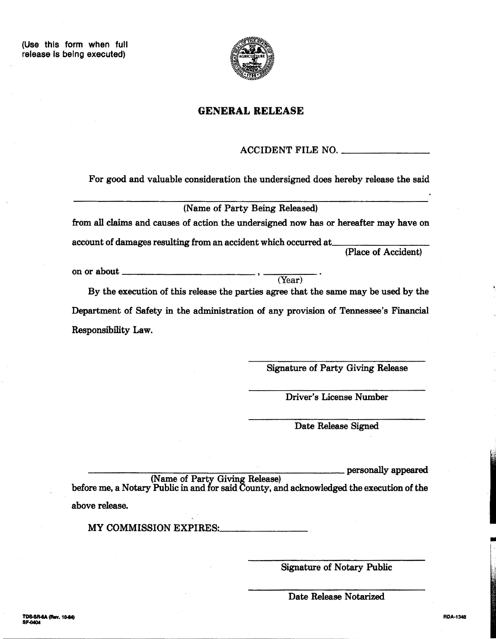

## **GENERAL RELEASE**

## ACCIDENT FILE NO.

(Year)

For good and valuable consideration the undersigned does hereby release the said

(Name of Party Being Released)

from all claims and causes of action the undersigned now has or hereafter may have on

account of damages resulting from an accident which occurred at

(Place of Accident)

on or about \_\_\_\_\_\_

By the execution of this release the parties agree that the same may be used by the Department of Safety in the administration of any provision of Tennessee's Financial Responsibility Law.

Signature of Party Giving Release

Driver's License Number

Date Release Signed

-------------------------Personally appeared (Name of Party Giving Release) before me, a Notary Public in and for said County, and acknowledged the execution of the

above release.

MY COMMISSION EXPIRES:

Signature of Notary Public

Date Release Notarized

RDA-1348

 $\overline{\phantom{a}}$